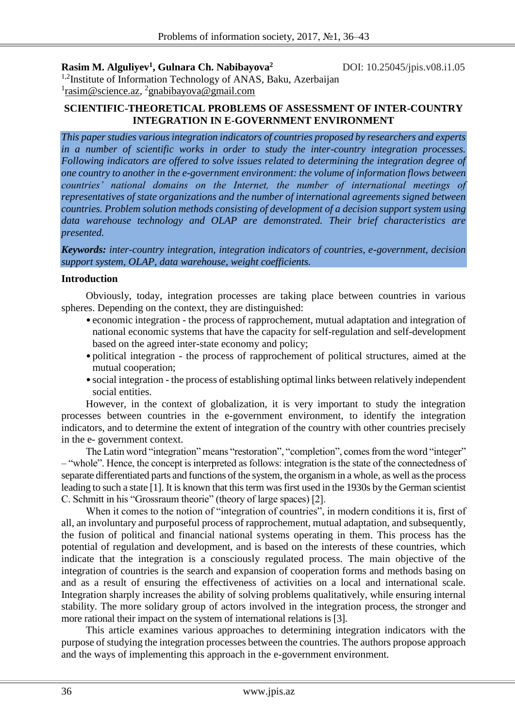**Rasim M. Alguliyev<sup>1</sup> , Gulnara Ch. Nabibayova<sup>2</sup>**

DOI: 10.25045/jpis.v08.i1.05

<sup>1,2</sup>Institute of Information Technology of ANAS, Baku, Azerbaijan <sup>1</sup>[rasim@science.az,](mailto:rasim@science.az) <sup>2</sup>gnabibayova@gmail.com

# **SCIENTIFIC-THEORETICAL PROBLEMS OF ASSESSMENT OF INTER-COUNTRY INTEGRATION IN E-GOVERNMENT ENVIRONMENT**

*This paper studies various integration indicators of countries proposed by researchers and experts in a number of scientific works in order to study the inter-country integration processes. Following indicators are offered to solve issues related to determining the integration degree of one country to another in the e-government environment: the volume of information flows between countries' national domains on the Internet, the number of international meetings of representatives of state organizations and the number of international agreements signed between countries. Problem solution methods consisting of development of a decision support system using data warehouse technology and OLAP are demonstrated. Their brief characteristics are presented.*

*Keywords: inter-country integration, integration indicators of countries, e-government, decision support system, OLAP, data warehouse, weight coefficients.*

# **Introduction**

Obviously, today, integration processes are taking place between countries in various spheres. Depending on the context, they are distinguished:

- economic integration the process of rapprochement, mutual adaptation and integration of national economic systems that have the capacity for self-regulation and self-development based on the agreed inter-state economy and policy;
- political integration the process of rapprochement of political structures, aimed at the mutual cooperation;
- social integration the process of establishing optimal links between relatively independent social entities.

However, in the context of globalization, it is very important to study the integration processes between countries in the e-government environment, to identify the integration indicators, and to determine the extent of integration of the country with other countries precisely in the e- government context.

The Latin word "integration" means "restoration", "completion", comes from the word "integer" – "whole". Hence, the concept is interpreted as follows: integration is the state of the connectedness of separate differentiated parts and functions of the system, the organism in a whole, as well as the process leading to such a state [1]. It is known that this term was first used in the 1930s by the German scientist C. Schmitt in his "Grossraum theorie" (theory of large spaces) [2].

When it comes to the notion of "integration of countries", in modern conditions it is, first of all, an involuntary and purposeful process of rapprochement, mutual adaptation, and subsequently, the fusion of political and financial national systems operating in them. This process has the potential of regulation and development, and is based on the interests of these countries, which indicate that the integration is a consciously regulated process. The main objective of the integration of countries is the search and expansion of cooperation forms and methods basing on and as a result of ensuring the effectiveness of activities on a local and international scale. Integration sharply increases the ability of solving problems qualitatively, while ensuring internal stability. The more solidary group of actors involved in the integration process, the stronger and more rational their impact on the system of international relations is [3].

This article examines various approaches to determining integration indicators with the purpose of studying the integration processes between the countries. The authors propose approach and the ways of implementing this approach in the e-government environment.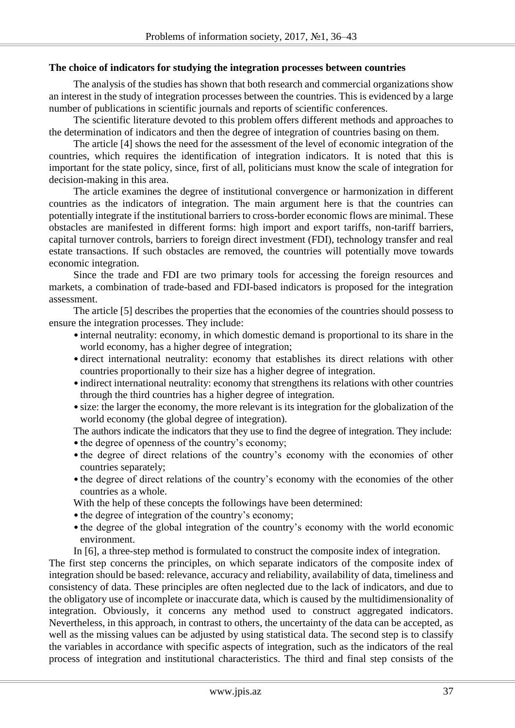#### **The choice of indicators for studying the integration processes between countries**

The analysis of the studies has shown that both research and commercial organizations show an interest in the study of integration processes between the countries. This is evidenced by a large number of publications in scientific journals and reports of scientific conferences.

The scientific literature devoted to this problem offers different methods and approaches to the determination of indicators and then the degree of integration of countries basing on them.

The article [4] shows the need for the assessment of the level of economic integration of the countries, which requires the identification of integration indicators. It is noted that this is important for the state policy, since, first of all, politicians must know the scale of integration for decision-making in this area.

The article examines the degree of institutional convergence or harmonization in different countries as the indicators of integration. The main argument here is that the countries can potentially integrate if the institutional barriers to cross-border economic flows are minimal. These obstacles are manifested in different forms: high import and export tariffs, non-tariff barriers, capital turnover controls, barriers to foreign direct investment (FDI), technology transfer and real estate transactions. If such obstacles are removed, the countries will potentially move towards economic integration.

Since the trade and FDI are two primary tools for accessing the foreign resources and markets, a combination of trade-based and FDI-based indicators is proposed for the integration assessment.

The article [5] describes the properties that the economies of the countries should possess to ensure the integration processes. They include:

- internal neutrality: economy, in which domestic demand is proportional to its share in the world economy, has a higher degree of integration;
- direct international neutrality: economy that establishes its direct relations with other countries proportionally to their size has a higher degree of integration.
- indirect international neutrality: economy that strengthens its relations with other countries through the third countries has a higher degree of integration.
- size: the larger the economy, the more relevant is its integration for the globalization of the world economy (the global degree of integration).

The authors indicate the indicators that they use to find the degree of integration. They include:

- the degree of openness of the country's economy;
- the degree of direct relations of the country's economy with the economies of other countries separately;
- the degree of direct relations of the country's economy with the economies of the other countries as a whole.

With the help of these concepts the followings have been determined:

- the degree of integration of the country's economy;
- the degree of the global integration of the country's economy with the world economic environment.
- In [6], a three-step method is formulated to construct the composite index of integration.

The first step concerns the principles, on which separate indicators of the composite index of integration should be based: relevance, accuracy and reliability, availability of data, timeliness and consistency of data. These principles are often neglected due to the lack of indicators, and due to the obligatory use of incomplete or inaccurate data, which is caused by the multidimensionality of integration. Obviously, it concerns any method used to construct aggregated indicators. Nevertheless, in this approach, in contrast to others, the uncertainty of the data can be accepted, as well as the missing values can be adjusted by using statistical data. The second step is to classify the variables in accordance with specific aspects of integration, such as the indicators of the real process of integration and institutional characteristics. The third and final step consists of the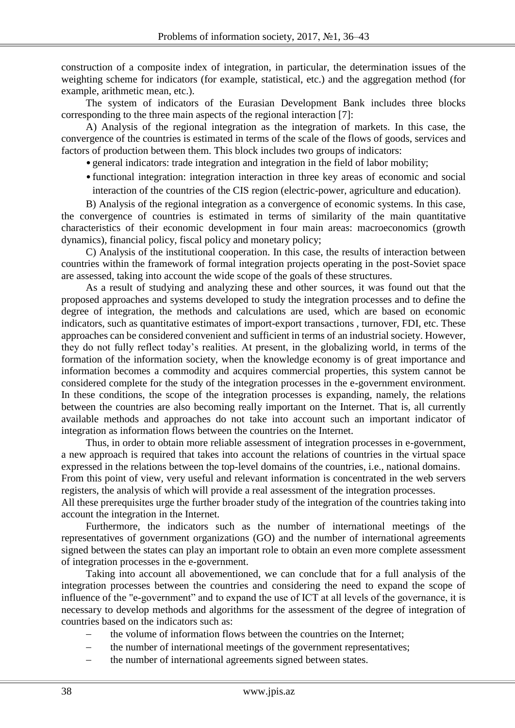construction of a composite index of integration, in particular, the determination issues of the weighting scheme for indicators (for example, statistical, etc.) and the aggregation method (for example, arithmetic mean, etc.).

The system of indicators of the Eurasian Development Bank includes three blocks corresponding to the three main aspects of the regional interaction [7]:

A) Analysis of the regional integration as the integration of markets. In this case, the convergence of the countries is estimated in terms of the scale of the flows of goods, services and factors of production between them. This block includes two groups of indicators:

• general indicators: trade integration and integration in the field of labor mobility;

• functional integration: integration interaction in three key areas of economic and social interaction of the countries of the CIS region (electric-power, agriculture and education).

B) Analysis of the regional integration as a convergence of economic systems. In this case, the convergence of countries is estimated in terms of similarity of the main quantitative characteristics of their economic development in four main areas: macroeconomics (growth dynamics), financial policy, fiscal policy and monetary policy;

C) Analysis of the institutional cooperation. In this case, the results of interaction between countries within the framework of formal integration projects operating in the post-Soviet space are assessed, taking into account the wide scope of the goals of these structures.

As a result of studying and analyzing these and other sources, it was found out that the proposed approaches and systems developed to study the integration processes and to define the degree of integration, the methods and calculations are used, which are based on economic indicators, such as quantitative estimates of import-export transactions , turnover, FDI, etc. These approaches can be considered convenient and sufficient in terms of an industrial society. However, they do not fully reflect today's realities. At present, in the globalizing world, in terms of the formation of the information society, when the knowledge economy is of great importance and information becomes a commodity and acquires commercial properties, this system cannot be considered complete for the study of the integration processes in the e-government environment. In these conditions, the scope of the integration processes is expanding, namely, the relations between the countries are also becoming really important on the Internet. That is, all currently available methods and approaches do not take into account such an important indicator of integration as information flows between the countries on the Internet.

Thus, in order to obtain more reliable assessment of integration processes in e-government, a new approach is required that takes into account the relations of countries in the virtual space expressed in the relations between the top-level domains of the countries, i.e., national domains.

From this point of view, very useful and relevant information is concentrated in the web servers registers, the analysis of which will provide a real assessment of the integration processes.

All these prerequisites urge the further broader study of the integration of the countries taking into account the integration in the Internet.

Furthermore, the indicators such as the number of international meetings of the representatives of government organizations (GO) and the number of international agreements signed between the states can play an important role to obtain an even more complete assessment of integration processes in the e-government.

Taking into account all abovementioned, we can conclude that for a full analysis of the integration processes between the countries and considering the need to expand the scope of influence of the "e-government" and to expand the use of ICT at all levels of the governance, it is necessary to develop methods and algorithms for the assessment of the degree of integration of countries based on the indicators such as:

- the volume of information flows between the countries on the Internet;
	- the number of international meetings of the government representatives;
- the number of international agreements signed between states.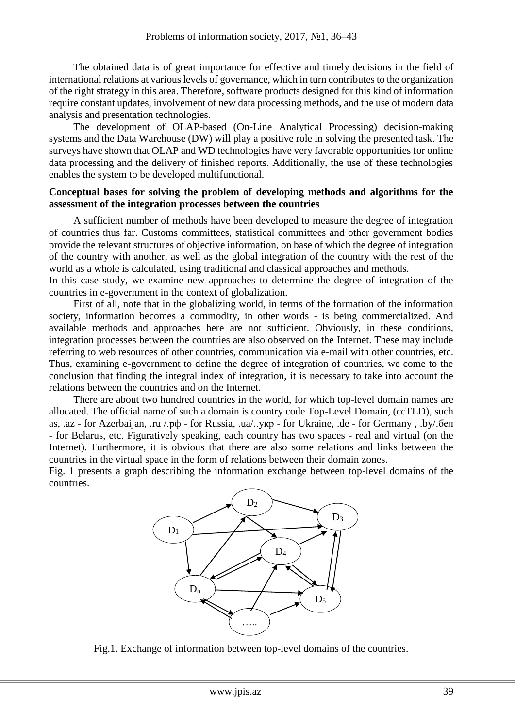The obtained data is of great importance for effective and timely decisions in the field of international relations at various levels of governance, which in turn contributes to the organization of the right strategy in this area. Therefore, software products designed for this kind of information require constant updates, involvement of new data processing methods, and the use of modern data analysis and presentation technologies.

The development of OLAP-based (On-Line Analytical Processing) decision-making systems and the Data Warehouse (DW) will play a positive role in solving the presented task. The surveys have shown that OLAP and WD technologies have very favorable opportunities for online data processing and the delivery of finished reports. Additionally, the use of these technologies enables the system to be developed multifunctional.

# **Conceptual bases for solving the problem of developing methods and algorithms for the assessment of the integration processes between the countries**

A sufficient number of methods have been developed to measure the degree of integration of countries thus far. Customs committees, statistical committees and other government bodies provide the relevant structures of objective information, on base of which the degree of integration of the country with another, as well as the global integration of the country with the rest of the world as a whole is calculated, using traditional and classical approaches and methods.

In this case study, we examine new approaches to determine the degree of integration of the countries in e-government in the context of globalization.

First of all, note that in the globalizing world, in terms of the formation of the information society, information becomes a commodity, in other words - is being commercialized. And available methods and approaches here are not sufficient. Obviously, in these conditions, integration processes between the countries are also observed on the Internet. These may include referring to web resources of other countries, communication via e-mail with other countries, etc. Thus, examining e-government to define the degree of integration of countries, we come to the conclusion that finding the integral index of integration, it is necessary to take into account the relations between the countries and on the Internet.

There are about two hundred countries in the world, for which top-level domain names are allocated. The official name of such a domain is country code Top-Level Domain, (ccTLD), such as, .az - for Azerbaijan, .ru [/.рф](https://ru.wikipedia.org/wiki/.%D1%80%D1%84) - for Russia, .ua/[..укр](https://ru.wikipedia.org/wiki/.%D1%83%D0%BA%D1%80) - for Ukraine, .de - for Germany , .by[/.бел](https://ru.wikipedia.org/wiki/.%D0%B1%D0%B5%D0%BB) - for Belarus, etc. Figuratively speaking, each country has two spaces - real and virtual (on the Internet). Furthermore, it is obvious that there are also some relations and links between the countries in the virtual space in the form of relations between their domain zones.

Fig. 1 presents a graph describing the information exchange between top-level domains of the countries.



Fig.1. Exchange of information between top-level domains of the countries.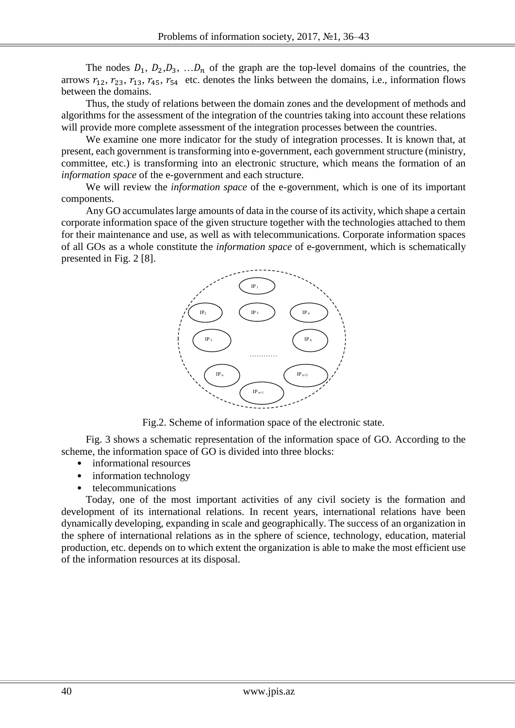The nodes  $D_1$ ,  $D_2$ ,  $D_3$ , ...  $D_n$  of the graph are the top-level domains of the countries, the arrows  $r_{12}$ ,  $r_{23}$ ,  $r_{13}$ ,  $r_{45}$ ,  $r_{54}$  etc. denotes the links between the domains, i.e., information flows between the domains.

Thus, the study of relations between the domain zones and the development of methods and algorithms for the assessment of the integration of the countries taking into account these relations will provide more complete assessment of the integration processes between the countries.

We examine one more indicator for the study of integration processes. It is known that, at present, each government is transforming into e-government, each government structure (ministry, committee, etc.) is transforming into an electronic structure, which means the formation of an *information space* of the e-government and each structure.

We will review the *information space* of the e-government, which is one of its important components.

Any GO accumulates large amounts of data in the course of its activity, which shape a certain corporate information space of the given structure together with the technologies attached to them for their maintenance and use, as well as with telecommunications. Corporate information spaces of all GOs as a whole constitute the *information space* of e-government, which is schematically presented in Fig. 2 [8].



Fig.2. Scheme of information space of the electronic state.

Fig. 3 shows a schematic representation of the information space of GO. According to the scheme, the information space of GO is divided into three blocks:

- informational resources
- information technology
- telecommunications

Today, one of the most important activities of any civil society is the formation and development of its international relations. In recent years, international relations have been dynamically developing, expanding in scale and geographically. The success of an organization in the sphere of international relations as in the sphere of science, technology, education, material production, etc. depends on to which extent the organization is able to make the most efficient use of the information resources at its disposal.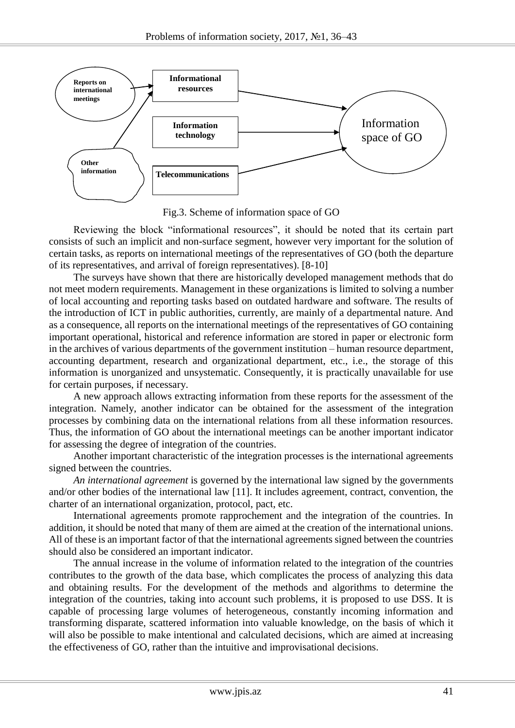

Fig.3. Scheme of information space of GO

Reviewing the block "informational resources", it should be noted that its certain part consists of such an implicit and non-surface segment, however very important for the solution of certain tasks, as reports on international meetings of the representatives of GO (both the departure of its representatives, and arrival of foreign representatives). [8-10]

The surveys have shown that there are historically developed management methods that do not meet modern requirements. Management in these organizations is limited to solving a number of local accounting and reporting tasks based on outdated hardware and software. The results of the introduction of ICT in public authorities, currently, are mainly of a departmental nature. And as a consequence, all reports on the international meetings of the representatives of GO containing important operational, historical and reference information are stored in paper or electronic form in the archives of various departments of the government institution – human resource department, accounting department, research and organizational department, etc., i.e., the storage of this information is unorganized and unsystematic. Consequently, it is practically unavailable for use for certain purposes, if necessary.

A new approach allows extracting information from these reports for the assessment of the integration. Namely, another indicator can be obtained for the assessment of the integration processes by combining data on the international relations from all these information resources. Thus, the information of GO about the international meetings can be another important indicator for assessing the degree of integration of the countries.

Another important characteristic of the integration processes is the international agreements signed between the countries.

*An international agreement* is governed by the international law signed by the governments and/or other bodies of the international law [11]. It includes agreement, contract, convention, the charter of an international organization, protocol, pact, etc.

International agreements promote rapprochement and the integration of the countries. In addition, it should be noted that many of them are aimed at the creation of the international unions. All of these is an important factor of that the international agreements signed between the countries should also be considered an important indicator.

The annual increase in the volume of information related to the integration of the countries contributes to the growth of the data base, which complicates the process of analyzing this data and obtaining results. For the development of the methods and algorithms to determine the integration of the countries, taking into account such problems, it is proposed to use DSS. It is capable of processing large volumes of heterogeneous, constantly incoming information and transforming disparate, scattered information into valuable knowledge, on the basis of which it will also be possible to make intentional and calculated decisions, which are aimed at increasing the effectiveness of GO, rather than the intuitive and improvisational decisions.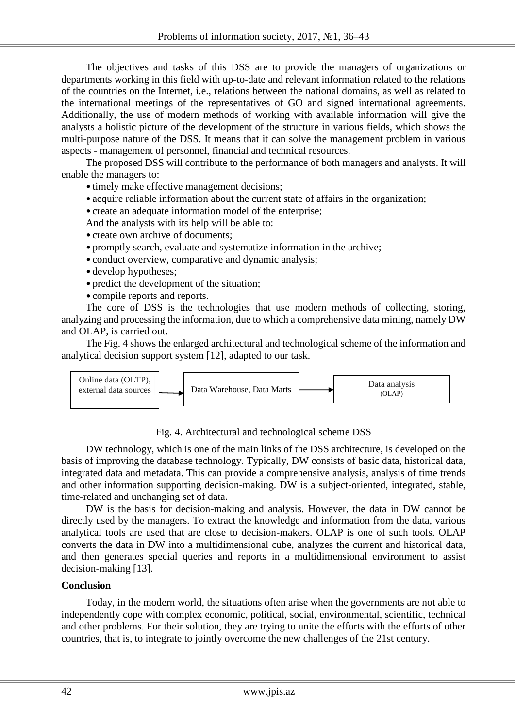The objectives and tasks of this DSS are to provide the managers of organizations or departments working in this field with up-to-date and relevant information related to the relations of the countries on the Internet, i.e., relations between the national domains, as well as related to the international meetings of the representatives of GO and signed international agreements. Additionally, the use of modern methods of working with available information will give the analysts a holistic picture of the development of the structure in various fields, which shows the multi-purpose nature of the DSS. It means that it can solve the management problem in various aspects - management of personnel, financial and technical resources.

The proposed DSS will contribute to the performance of both managers and analysts. It will enable the managers to:

• timely make effective management decisions;

- acquire reliable information about the current state of affairs in the organization;
- create an adequate information model of the enterprise;

And the analysts with its help will be able to:

- create own archive of documents:
- promptly search, evaluate and systematize information in the archive;
- conduct overview, comparative and dynamic analysis;
- develop hypotheses;
- predict the development of the situation:
- compile reports and reports.

The core of DSS is the technologies that use modern methods of collecting, storing, analyzing and processing the information, due to which a comprehensive data mining, namely DW and OLAP, is carried out.

The Fig. 4 shows the enlarged architectural and technological scheme of the information and analytical decision support system [12], adapted to our task.



Fig. 4. Architectural and technological scheme DSS

DW technology, which is one of the main links of the DSS architecture, is developed on the basis of improving the database technology. Typically, DW consists of basic data, historical data, integrated data and metadata. This can provide a comprehensive analysis, analysis of time trends and other information supporting decision-making. DW is a subject-oriented, integrated, stable, time-related and unchanging set of data.

DW is the basis for decision-making and analysis. However, the data in DW cannot be directly used by the managers. To extract the knowledge and information from the data, various analytical tools are used that are close to decision-makers. OLAP is one of such tools. OLAP converts the data in DW into a multidimensional cube, analyzes the current and historical data, and then generates special queries and reports in a multidimensional environment to assist decision-making [13].

# **Conclusion**

Today, in the modern world, the situations often arise when the governments are not able to independently cope with complex economic, political, social, environmental, scientific, technical and other problems. For their solution, they are trying to unite the efforts with the efforts of other countries, that is, to integrate to jointly overcome the new challenges of the 21st century.